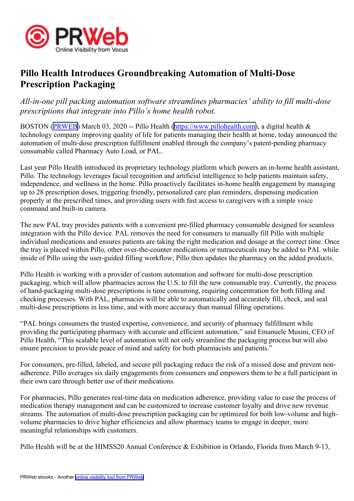

## **Pillo Health Introduces Groundbreaking Automation of Multi-Dose Prescription Packaging**

*All-in-one pill packing automation software streamlines pharmacies' ability to fill multi-dose prescriptions that integrate into Pillo's home health robot.*

BOSTON ([PRWEB](http://www.prweb.com)) March 03, 2020 -- Pillo Health [\(https://www.pillohealth.com\)](https://www.pillohealth.com), a digital health & technology company improving quality of life for patients managing their health at home, today announced the automation of multi-dose prescription fulfillment enabled through the company's patent-pending pharmacy consumable called Pharmacy Auto Load, or PAL.

Last year Pillo Health introduced its proprietary technology platform which powers an in-home health assistant, Pillo. The technology leverages facial recognition and artificial intelligence to help patients maintain safety, independence, and wellness in the home. Pillo proactively facilitates in-home health engagemen<sup>t</sup> by managing up to 28 prescription doses, triggering friendly, personalized care plan reminders, dispensing medication properly at the prescribed times, and providing users with fast access to caregivers with <sup>a</sup> simple voice command and built-in camera.

The new PAL tray provides patients with <sup>a</sup> convenient pre-filled pharmacy consumable designed for seamless integration with the Pillo device. PAL removes the need for consumers to manually fill Pillo with multiple individual medications and ensures patients are taking the right medication and dosage at the correct time. Once the tray is placed within Pillo, other over-the-counter medications or nutraceuticals may be added to PAL while inside of Pillo using the user-guided filling workflow; Pillo then updates the pharmacy on the added products.

Pillo Health is working with <sup>a</sup> provider of custom automation and software for multi-dose prescription packaging, which will allow pharmacies across the U.S. to fill the new consumable tray. Currently, the process of hand-packaging multi-dose prescriptions is time consuming, requiring concentration for both filling and checking processes. With PAL, pharmacies will be able to automatically and accurately fill, check, and seal multi-dose prescriptions in less time, and with more accuracy than manual filling operations.

"PAL brings consumers the trusted expertise, convenience, and security of pharmacy fulfillment while providing the participating pharmacy with accurate and efficient automation," said Emanuele Musini, CEO of Pillo Health, "This scalable level of automation will not only streamline the packaging process but will also ensure precision to provide peace of mind and safety for both pharmacists and patients."

For consumers, pre-filled, labeled, and secure pill packaging reduce the risk of <sup>a</sup> missed dose and preven<sup>t</sup> nonadherence. Pillo averages six daily engagements from consumers and empowers them to be <sup>a</sup> full participant in their own care through better use of their medications.

For pharmacies, Pillo generates real-time data on medication adherence, providing value to ease the process of medication therapy managemen<sup>t</sup> and can be customized to increase customer loyalty and drive new revenue streams. The automation of multi-dose prescription packaging can be optimized for both low-volume and highvolume pharmacies to drive higher efficiencies and allow pharmacy teams to engage in deeper, more meaningful relationships with customers.

Pillo Health will be at the HIMSS20 Annual Conference & Exhibition in Orlando, Florida from March 9-13,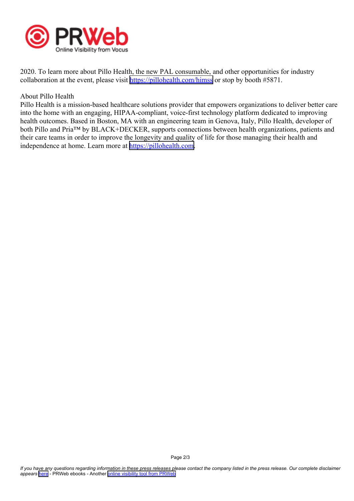

2020. To learn more about Pillo Health, the new PAL consumable, and other opportunities for industry collaboration at the event, please visit <https://pillohealth.com/himss> or stop by booth #5871.

## About Pillo Health

Pillo Health is <sup>a</sup> mission-based healthcare solutions provider that empowers organizations to deliver better care into the home with an engaging, HIPAA-compliant, voice-first technology platform dedicated to improving health outcomes. Based in Boston, MA with an engineering team in Genova, Italy, Pillo Health, developer of both Pillo and Pria™ by BLACK+DECKER, supports connections between health organizations, patients and their care teams in order to improve the longevity and quality of life for those managing their health and independence at home. Learn more at <https://pillohealth.com>.